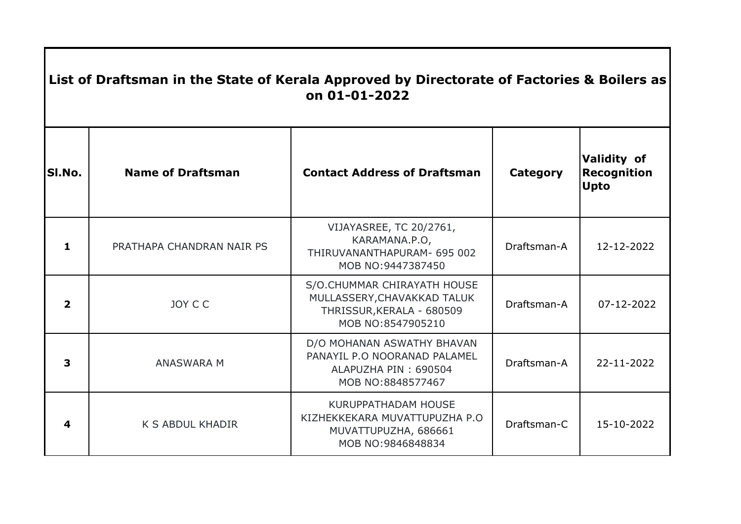| List of Draftsman in the State of Kerala Approved by Directorate of Factories & Boilers as<br>on 01-01-2022 |                           |                                                                                                              |                 |                                                         |  |  |  |
|-------------------------------------------------------------------------------------------------------------|---------------------------|--------------------------------------------------------------------------------------------------------------|-----------------|---------------------------------------------------------|--|--|--|
| SI.No.                                                                                                      | <b>Name of Draftsman</b>  | <b>Contact Address of Draftsman</b>                                                                          | <b>Category</b> | <b>Validity of</b><br><b>Recognition</b><br><b>Upto</b> |  |  |  |
| 1                                                                                                           | PRATHAPA CHANDRAN NAIR PS | VIJAYASREE, TC 20/2761,<br>KARAMANA.P.O,<br>THIRUVANANTHAPURAM- 695 002<br>MOB NO:9447387450                 | Draftsman-A     | 12-12-2022                                              |  |  |  |
| $\overline{\mathbf{2}}$                                                                                     | JOY C C                   | S/O.CHUMMAR CHIRAYATH HOUSE<br>MULLASSERY, CHAVAKKAD TALUK<br>THRISSUR, KERALA - 680509<br>MOB NO:8547905210 | Draftsman-A     | 07-12-2022                                              |  |  |  |
| 3                                                                                                           | <b>ANASWARA M</b>         | D/O MOHANAN ASWATHY BHAVAN<br>PANAYIL P.O NOORANAD PALAMEL<br>ALAPUZHA PIN: 690504<br>MOB NO:8848577467      | Draftsman-A     | 22-11-2022                                              |  |  |  |
| 4                                                                                                           | <b>K S ABDUL KHADIR</b>   | KURUPPATHADAM HOUSE<br>KIZHEKKEKARA MUVATTUPUZHA P.O<br>MUVATTUPUZHA, 686661<br>MOB NO:9846848834            | Draftsman-C     | 15-10-2022                                              |  |  |  |

 $\mathbf{I}$